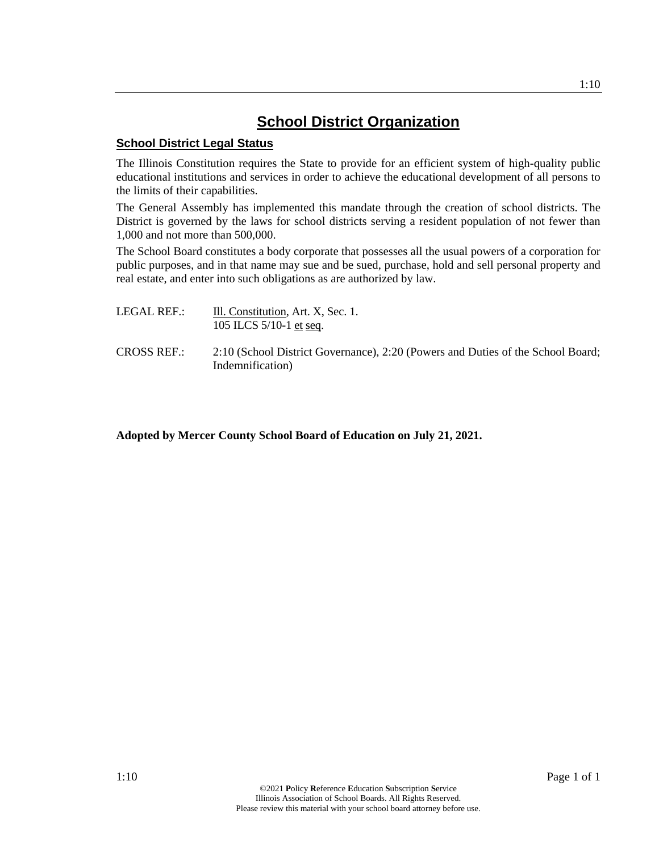## **School District Organization**

### **School District Legal Status**

The Illinois Constitution requires the State to provide for an efficient system of high-quality public educational institutions and services in order to achieve the educational development of all persons to the limits of their capabilities.

The General Assembly has implemented this mandate through the creation of school districts. The District is governed by the laws for school districts serving a resident population of not fewer than 1,000 and not more than 500,000.

The School Board constitutes a body corporate that possesses all the usual powers of a corporation for public purposes, and in that name may sue and be sued, purchase, hold and sell personal property and real estate, and enter into such obligations as are authorized by law.

- LEGAL REF.: Ill. Constitution, Art. X, Sec. 1. 105 ILCS 5/10-1 et seq.
- CROSS REF.: 2:10 (School District Governance), 2:20 (Powers and Duties of the School Board; Indemnification)

## **Adopted by Mercer County School Board of Education on July 21, 2021.**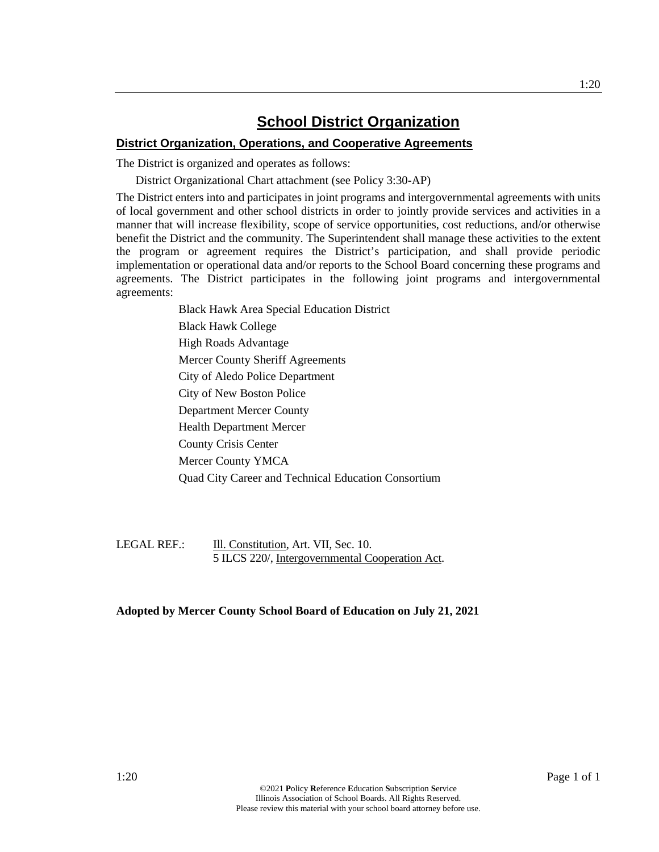## **School District Organization**

#### **District Organization, Operations, and Cooperative Agreements**

The District is organized and operates as follows:

District Organizational Chart attachment (see Policy 3:30-AP)

The District enters into and participates in joint programs and intergovernmental agreements with units of local government and other school districts in order to jointly provide services and activities in a manner that will increase flexibility, scope of service opportunities, cost reductions, and/or otherwise benefit the District and the community. The Superintendent shall manage these activities to the extent the program or agreement requires the District's participation, and shall provide periodic implementation or operational data and/or reports to the School Board concerning these programs and agreements. The District participates in the following joint programs and intergovernmental agreements:

> Black Hawk Area Special Education District Black Hawk College High Roads Advantage Mercer County Sheriff Agreements City of Aledo Police Department City of New Boston Police Department Mercer County Health Department Mercer County Crisis Center Mercer County YMCA Quad City Career and Technical Education Consortium

LEGAL REF.: **III.** Constitution, Art. VII, Sec. 10. 5 ILCS 220/, Intergovernmental Cooperation Act.

#### **Adopted by Mercer County School Board of Education on July 21, 2021**